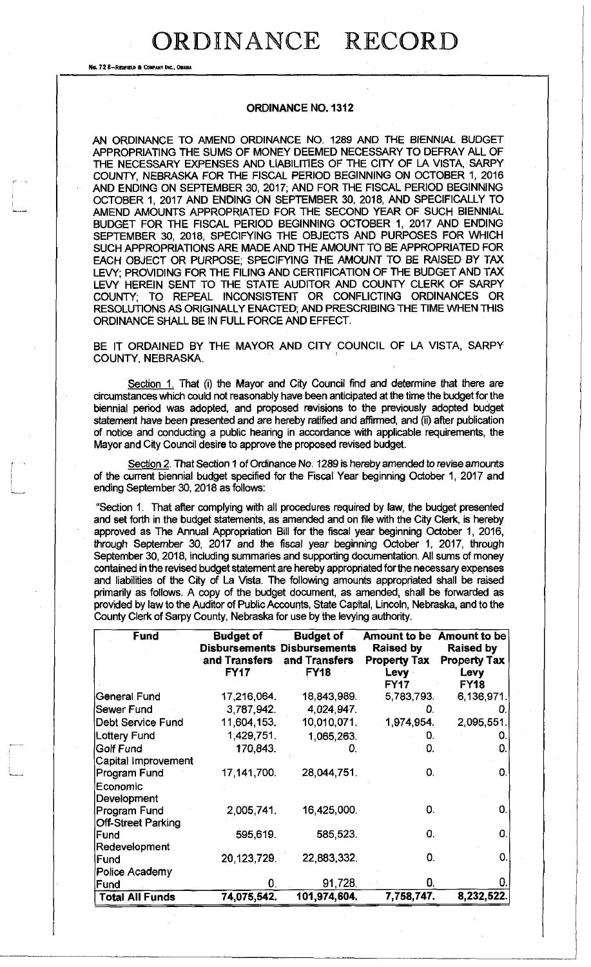## ORDINANCE RECORD

No. **72 6-REDFIEW** ft **COWMIV INC., OHUU** 

## **ORDINANCE NO. 1312**

AN ORDINANCE TO AMEND ORDINANCE NO. 1289 AND THE BIENNIAL BUDGET APPROPRIATING THE SUMS OF MONEY DEEMED NECESSARY TO DEFRAY ALL OF THE NECESSARY EXPENSES AND LIABILITIES OF THE CITY OF LA VISTA, SARPY COUNTY, NEBRASKA FOR THE FISCAL PERIOD BEGINNING ON OCTOBER 1, 2016 AND ENDING ON SEPTEMBER 30, 2017; AND FOR THE FISCAL PERIOD BEGINNING OCTOBER 1, 2017 AND ENDING ON SEPTEMBER 30, 2018, AND SPECIFICALLY TO AMEND AMOUNTS APPROPRIATED FOR THE SECOND YEAR OF SUCH BIENNIAL BUDGET FOR THE FISCAL PERIOD BEGINNING OCTOBER 1, 2017 AND ENDING SEPTEMBER 30, 2018, SPECIFYING THE OBJECTS AND PURPOSES FOR WHICH SUCH APPROPRIATIONS ARE MADE AND THE AMOUNT TO BE APPROPRIATED FOR EACH OBJECT OR PURPOSE, SPECIFYING THE AMOUNT TO BE RAISED BY TAX LEVY; PROVIDING FOR THE FILING AND CERTIFICATION OF THE BUDGET AND TAX LEVY HEREIN SENT TO THE STATE AUDITOR AND COUNTY CLERK OF SARPY COUNTY; TO REPEAL INCONSISTENT OR CONFLICTING ORDINANCES OR RESOLUTIONS AS ORIGINALLY ENACTED; AND PRESCRIBING THE TIME WHEN THIS ORDINANCE SHALL BE IN FULL FORCE AND EFFECT.

BE IT ORDAINED BY THE MAYOR AND CITY COUNCIL OF LA VISTA, SARPY COUNTY, NEBRASKA.

Section 1. That (i) the Mayor and City Council find and determine that there are circumstances which could not reasonably have been anticipated at the time the budget for the biennial period was adopted, and proposed revisions to the previously adopted budget statement have been presented and are hereby ratified and affirmed, and (ii) after publication of notice and conducting a public hearing in accordance with applicable requirements, the Mayor and City Council desire to approve the proposed revised budget.

Section 2. That Section 1 of Ordinance No. 1289 is hereby amended to revise amounts of the current biennial budget specified for the Fiscal Year beginning October 1, 2017 and ending September 30,2018 as follows:

"Section 1. That after complying with all procedures required by law, the budget presented and set forth in the budget statements, as amended and on file with the City Clerk, is hereby approved as The Annual Appropriation Bill for the fiscal year beginning October 1, 2016, through September 30, 2017 and the fiscal year beginning October 1, 2017, through September 30, 2018, including summaries and supporting documentation. All sums of money contained in the revised budget statement are hereby appropriated for the necessary expenses and liabilities of the City of La Vista. The following amounts appropriated shall be raised primarily as follows. A copy of the budget document, as amended, shall be forwarded as provided by law to the Auditor of Public Accounts, State Capital, Lincoln, Nebraska, and to the County Clerk of Sarpy County, Nebraska for use by the levying authority.

| <b>Fund</b>                               | <b>Budget of</b><br>and Transfers<br><b>FY17</b> | <b>Budget of</b><br><b>Disbursements Disbursements</b><br>and Transfers<br><b>FY18</b> | <b>Raised by</b><br><b>Property Tax</b><br><b>Levy</b><br><b>FY17</b> | Amount to be Amount to be<br><b>Raised by</b><br><b>Property Tax</b><br>Levy<br><b>FY18</b> |
|-------------------------------------------|--------------------------------------------------|----------------------------------------------------------------------------------------|-----------------------------------------------------------------------|---------------------------------------------------------------------------------------------|
| General Fund                              | 17,216,064.                                      | 18,843,989                                                                             | 5,783,793.                                                            | 6,136,971                                                                                   |
| Sewer Fund                                | 3,787,942.                                       | 4,024,947.                                                                             | 0.                                                                    |                                                                                             |
| Debt Service Fund                         | 11,604,153.                                      | 10,010,071                                                                             | 1,974,954.                                                            | 2,095,551                                                                                   |
| <b>Lottery Fund</b>                       | 1.429,751.                                       | 1,065,263.                                                                             | 0.                                                                    |                                                                                             |
| Golf Fund                                 | 170,843.                                         | 0.                                                                                     | 0.                                                                    | O.                                                                                          |
| Capital Improvement                       |                                                  |                                                                                        |                                                                       |                                                                                             |
| Program Fund<br>Economic                  | 17, 141, 700.                                    | 28,044,751.                                                                            | 0.                                                                    | 0.                                                                                          |
| Development                               |                                                  |                                                                                        |                                                                       |                                                                                             |
| Program Fund<br><b>Off-Street Parking</b> | 2,005,741.                                       | 16,425,000                                                                             | 0.                                                                    | 0.                                                                                          |
| Fund<br>Redevelopment                     | 595,619.                                         | 585,523.                                                                               | 0.                                                                    | 0.                                                                                          |
| Fund                                      | 20.123,729.                                      | 22,883,332.                                                                            | 0.                                                                    | 0.                                                                                          |
| Police Academy                            |                                                  |                                                                                        |                                                                       |                                                                                             |
| Fund                                      | 0.                                               | 91,728.                                                                                | 0.                                                                    |                                                                                             |
| <b>Total All Funds</b>                    | 74,075,542.                                      | 101,974,604.                                                                           | 7,758,747.                                                            | 8,232,522.                                                                                  |